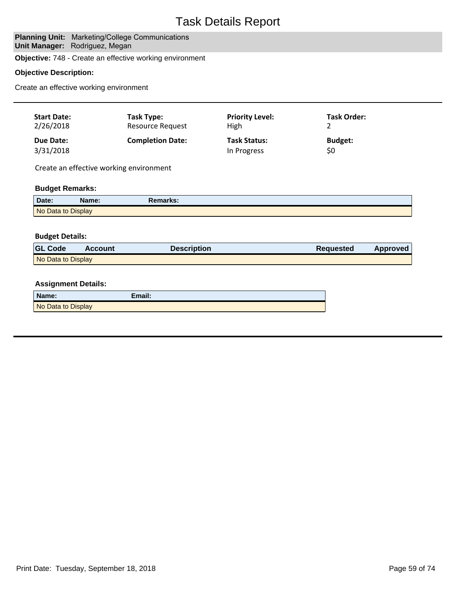# **Planning Unit: Marketing/College Communications Unit Manager: Rodriguez, Megan**

**Objective:** 748 - Create an effective working environment

# **Objective Description:**

Create an effective working environment

| <b>Start Date:</b><br>2/26/2018<br>Due Date: |                | Task Type:<br>Resource Request          | <b>Priority Level:</b>             | <b>Task Order:</b>    |                 |
|----------------------------------------------|----------------|-----------------------------------------|------------------------------------|-----------------------|-----------------|
|                                              |                |                                         | High                               | 2                     |                 |
| 3/31/2018                                    |                | <b>Completion Date:</b>                 | <b>Task Status:</b><br>In Progress | <b>Budget:</b><br>\$0 |                 |
|                                              |                | Create an effective working environment |                                    |                       |                 |
| <b>Budget Remarks:</b>                       |                |                                         |                                    |                       |                 |
| Date:                                        | Name:          | <b>Remarks:</b>                         |                                    |                       |                 |
| No Data to Display                           |                |                                         |                                    |                       |                 |
|                                              |                |                                         |                                    |                       |                 |
| <b>Budget Details:</b>                       |                |                                         |                                    |                       |                 |
| <b>GL Code</b>                               | <b>Account</b> | <b>Description</b>                      |                                    | <b>Requested</b>      | <b>Approved</b> |
| No Data to Display                           |                |                                         |                                    |                       |                 |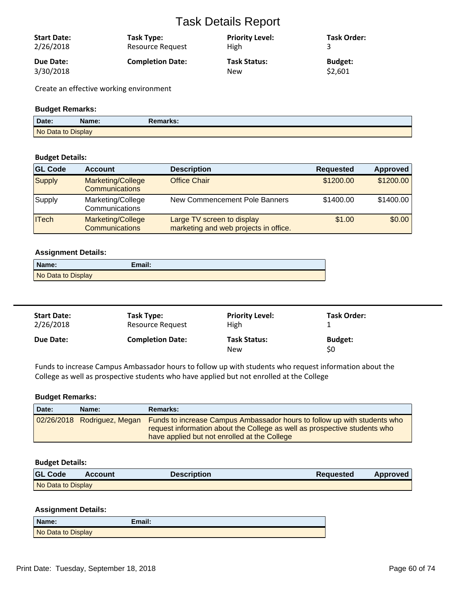| <b>Start Date:</b><br>2/26/2018 | Task Type:<br><b>Resource Request</b> | <b>Priority Level:</b><br><b>High</b> | <b>Task Order:</b> |
|---------------------------------|---------------------------------------|---------------------------------------|--------------------|
| Due Date:                       | <b>Completion Date:</b>               | <b>Task Status:</b>                   | Budget:            |
| 3/30/2018                       |                                       | New                                   | \$2,601            |

Create an effective working environment

## **Budget Remarks:**

| Date:              | Name: | Remarks: |
|--------------------|-------|----------|
| No Data to Display |       |          |

## **Budget Details:**

| <b>GL Code</b> | <b>Account</b>                             | <b>Description</b>                                                  | <b>Requested</b> | <b>Approved</b> |
|----------------|--------------------------------------------|---------------------------------------------------------------------|------------------|-----------------|
| Supply         | Marketing/College<br><b>Communications</b> | <b>Office Chair</b>                                                 | \$1200.00        | \$1200.00       |
| Supply         | Marketing/College<br>Communications        | New Commencement Pole Banners                                       | \$1400.00        | \$1400.00       |
| <b>ITech</b>   | Marketing/College<br><b>Communications</b> | Large TV screen to display<br>marketing and web projects in office. | \$1.00           | \$0.00          |

#### **Assignment Details:**

| Name:              | Email: |
|--------------------|--------|
| No Data to Display |        |

| <b>Start Date:</b> | Task Type:              | <b>Priority Level:</b>            | <b>Task Order:</b>    |
|--------------------|-------------------------|-----------------------------------|-----------------------|
| 2/26/2018          | <b>Resource Request</b> | High                              |                       |
| Due Date:          | <b>Completion Date:</b> | <b>Task Status:</b><br><b>New</b> | <b>Budget:</b><br>\$0 |

Funds to increase Campus Ambassador hours to follow up with students who request information about the College as well as prospective students who have applied but not enrolled at the College

#### **Budget Remarks:**

| Date: | Name:                       | <b>Remarks:</b>                                                                                                                                                                                       |
|-------|-----------------------------|-------------------------------------------------------------------------------------------------------------------------------------------------------------------------------------------------------|
|       | 02/26/2018 Rodriguez, Megan | Funds to increase Campus Ambassador hours to follow up with students who<br>request information about the College as well as prospective students who<br>have applied but not enrolled at the College |

## **Budget Details:**

| <b>GL Code</b>     | Account | <b>Description</b> | <b>Requested</b> | <b>Approved</b> |
|--------------------|---------|--------------------|------------------|-----------------|
| No Data to Display |         |                    |                  |                 |

## **Assignment Details:**

| Name:              | Email: |
|--------------------|--------|
| No Data to Display |        |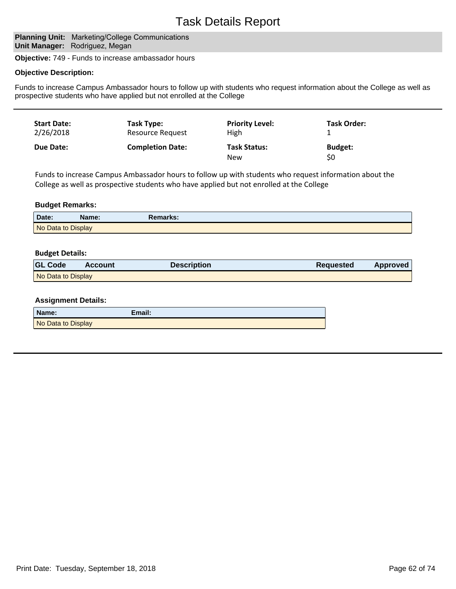# **Planning Unit: Marketing/College Communications Unit Manager: Rodriguez, Megan**

**Objective:** 749 - Funds to increase ambassador hours

#### **Objective Description:**

Funds to increase Campus Ambassador hours to follow up with students who request information about the College as well as prospective students who have applied but not enrolled at the College

| <b>Start Date:</b><br>2/26/2018 | Task Type:<br>Resource Request | <b>Priority Level:</b><br>High    | Task Order:           |  |
|---------------------------------|--------------------------------|-----------------------------------|-----------------------|--|
| Due Date:                       | <b>Completion Date:</b>        | <b>Task Status:</b><br><b>New</b> | <b>Budget:</b><br>\$0 |  |

Funds to increase Campus Ambassador hours to follow up with students who request information about the College as well as prospective students who have applied but not enrolled at the College

#### **Budget Remarks:**

| Date:              | Name: | Remarks: |
|--------------------|-------|----------|
| No Data to Display |       |          |

#### **Budget Details:**

| <b>GL Code</b>     | <b>Account</b> | <b>Description</b> | <b>Requested</b> | <b>Approved</b> |
|--------------------|----------------|--------------------|------------------|-----------------|
| No Data to Display |                |                    |                  |                 |

#### **Assignment Details:**

| Name:              | Email: |
|--------------------|--------|
| No Data to Display |        |